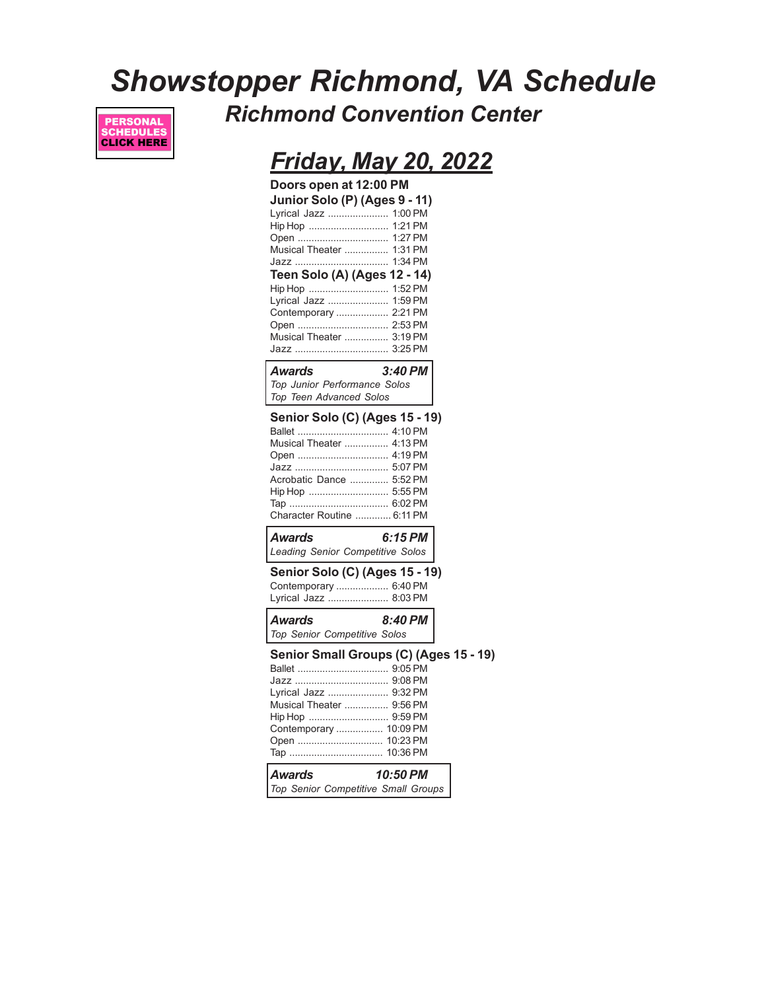# *Showstopper Richmond, VA Schedule Richmond Convention Center*



### *Friday, May 20, 2022*

| Doors open at 12:00 PM<br>Junior Solo (P) (Ages 9 - 11)<br>Lyrical Jazz  1:00 PM<br>Hip Hop  1:21 PM<br>Musical Theater  1:31 PM<br>Teen Solo (A) (Ages 12 - 14)<br>Hip Hop  1:52 PM<br>Lyrical Jazz  1:59 PM<br>Contemporary  2:21 PM<br>Open  2:53 PM<br>Musical Theater  3:19 PM<br>Jazz  3:25 PM<br>Awards | 3:40 PM  |  |
|----------------------------------------------------------------------------------------------------------------------------------------------------------------------------------------------------------------------------------------------------------------------------------------------------------------|----------|--|
| Top Junior Performance Solos<br>Top Teen Advanced Solos                                                                                                                                                                                                                                                        |          |  |
| <b>Senior Solo (C) (Ages 15 - 19)</b><br>Musical Theater  4:13 PM<br>Acrobatic Dance  5:52 PM<br>Character Routine  6:11 PM                                                                                                                                                                                    |          |  |
| Awards<br>Leading Senior Competitive Solos                                                                                                                                                                                                                                                                     | 6:15 PM  |  |
| Senior Solo (C) (Ages 15 - 19)<br>Contemporary  6:40 PM<br>Lyrical Jazz  8:03 PM                                                                                                                                                                                                                               |          |  |
| Awards<br>Top Senior Competitive Solos                                                                                                                                                                                                                                                                         | 8:40 PM  |  |
| Senior Small Groups (C) (Ages 15 - 19)<br>Lyrical Jazz  9:32 PM<br>Musical Theater  9:56 PM<br>Contemporary  10:09 PM<br>Open  10:23 PM                                                                                                                                                                        |          |  |
| Awards<br>Top Senior Competitive Small Groups                                                                                                                                                                                                                                                                  | 10:50 PM |  |